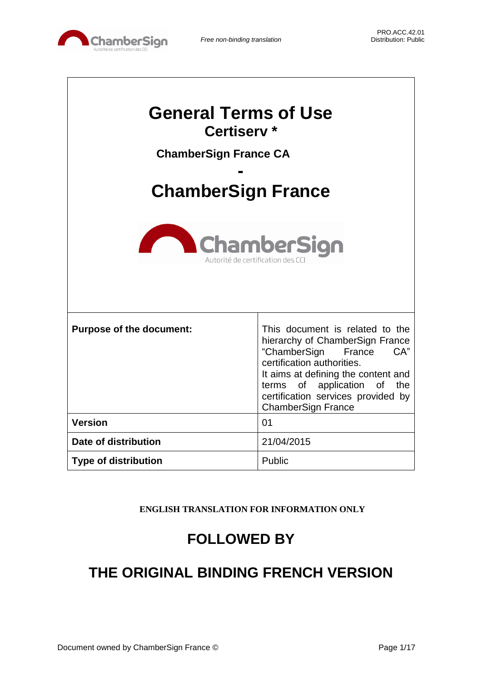

| <b>General Terms of Use</b><br>Certiserv <sup>*</sup><br><b>ChamberSign France CA</b><br><b>ChamberSign France</b><br><b>ChamberSign</b><br>Autorité de certification des C |                                                                                                                                                                                                                                                                            |  |
|-----------------------------------------------------------------------------------------------------------------------------------------------------------------------------|----------------------------------------------------------------------------------------------------------------------------------------------------------------------------------------------------------------------------------------------------------------------------|--|
| <b>Purpose of the document:</b>                                                                                                                                             | This document is related to the<br>hierarchy of ChamberSign France<br>"ChamberSign<br>CA"<br>France<br>certification authorities.<br>It aims at defining the content and<br>terms of application of the<br>certification services provided by<br><b>ChamberSign France</b> |  |
| <b>Version</b>                                                                                                                                                              | 01                                                                                                                                                                                                                                                                         |  |
| Date of distribution                                                                                                                                                        | 21/04/2015                                                                                                                                                                                                                                                                 |  |
| <b>Type of distribution</b>                                                                                                                                                 | Public                                                                                                                                                                                                                                                                     |  |

**ENGLISH TRANSLATION FOR INFORMATION ONLY**

# **FOLLOWED BY**

# **THE ORIGINAL BINDING FRENCH VERSION**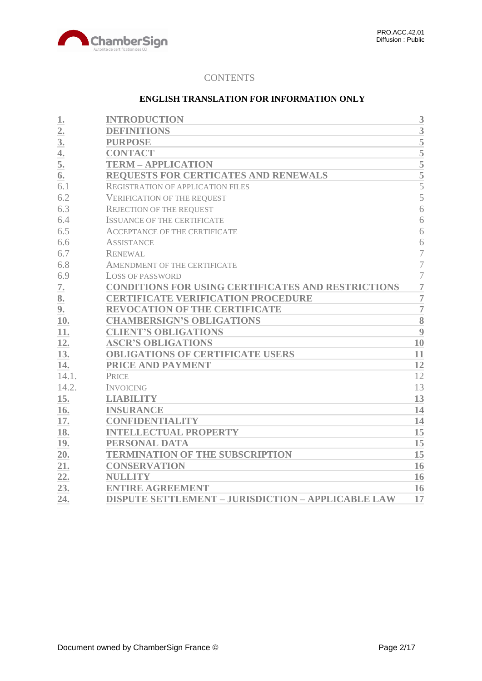

# **CONTENTS**

# **ENGLISH TRANSLATION FOR INFORMATION ONLY**

| 1.             | <b>INTRODUCTION</b>                                       | 3                  |
|----------------|-----------------------------------------------------------|--------------------|
| $\overline{2}$ | <b>DEFINITIONS</b>                                        | $\overline{3}$     |
| 3.             | <b>PURPOSE</b>                                            | $\overline{5}$     |
| 4.             | <b>CONTACT</b>                                            | $\overline{5}$     |
| 5.             | <b>TERM - APPLICATION</b>                                 | 5                  |
| 6.             | <b>REQUESTS FOR CERTICATES AND RENEWALS</b>               | $\overline{5}$     |
| 6.1            | <b>REGISTRATION OF APPLICATION FILES</b>                  | 5                  |
| 6.2            | <b>VERIFICATION OF THE REQUEST</b>                        | 5                  |
| 6.3            | <b>REJECTION OF THE REQUEST</b>                           | 6                  |
| 6.4            | <b>ISSUANCE OF THE CERTIFICATE</b>                        | 6                  |
| 6.5            | <b>ACCEPTANCE OF THE CERTIFICATE</b>                      | 6                  |
| 6.6            | <b>ASSISTANCE</b>                                         | 6                  |
| 6.7            | <b>RENEWAL</b>                                            | $\overline{7}$     |
| 6.8            | AMENDMENT OF THE CERTIFICATE                              | $\overline{7}$     |
| 6.9            | LOSS OF PASSWORD                                          | $\overline{7}$     |
| 7.             | <b>CONDITIONS FOR USING CERTIFICATES AND RESTRICTIONS</b> | $\overline{7}$     |
| 8.             | <b>CERTIFICATE VERIFICATION PROCEDURE</b>                 | $\overline{7}$     |
| 9.             | <b>REVOCATION OF THE CERTIFICATE</b>                      | $\overline{7}$     |
| 10.            | <b>CHAMBERSIGN'S OBLIGATIONS</b>                          | $\overline{\bf 8}$ |
| 11.            | <b>CLIENT'S OBLIGATIONS</b>                               | 9                  |
| 12.            | <b>ASCR'S OBLIGATIONS</b>                                 | 10                 |
| 13.            | <b>OBLIGATIONS OF CERTIFICATE USERS</b>                   | 11                 |
| 14.            | PRICE AND PAYMENT                                         | 12                 |
| 14.1.          | <b>PRICE</b>                                              | 12                 |
| 14.2.          | <b>INVOICING</b>                                          | 13                 |
| 15.            | <b>LIABILITY</b>                                          | 13                 |
| 16.            | <b>INSURANCE</b>                                          | 14                 |
| 17.            | <b>CONFIDENTIALITY</b>                                    | 14                 |
| 18.            | <b>INTELLECTUAL PROPERTY</b>                              | 15                 |
| 19.            | PERSONAL DATA                                             | 15                 |
| 20.            | <b>TERMINATION OF THE SUBSCRIPTION</b>                    | 15                 |
| 21.            | <b>CONSERVATION</b>                                       | 16                 |
| 22.            | <b>NULLITY</b>                                            | 16                 |
| 23.            | <b>ENTIRE AGREEMENT</b>                                   | 16                 |
| 24.            | <b>DISPUTE SETTLEMENT - JURISDICTION - APPLICABLE LAW</b> | 17                 |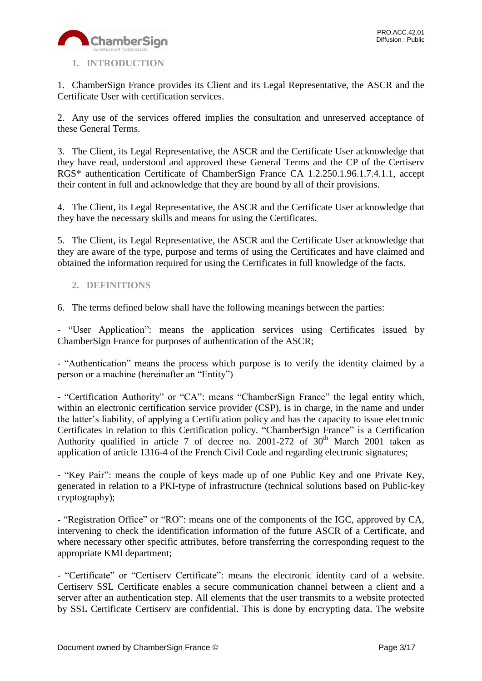

# <span id="page-2-0"></span>**1. INTRODUCTION**

1. ChamberSign France provides its Client and its Legal Representative, the ASCR and the Certificate User with certification services.

2. Any use of the services offered implies the consultation and unreserved acceptance of these General Terms.

3. The Client, its Legal Representative, the ASCR and the Certificate User acknowledge that they have read, understood and approved these General Terms and the CP of the Certiserv RGS\* authentication Certificate of ChamberSign France CA 1.2.250.1.96.1.7.4.1.1, accept their content in full and acknowledge that they are bound by all of their provisions.

4. The Client, its Legal Representative, the ASCR and the Certificate User acknowledge that they have the necessary skills and means for using the Certificates.

5. The Client, its Legal Representative, the ASCR and the Certificate User acknowledge that they are aware of the type, purpose and terms of using the Certificates and have claimed and obtained the information required for using the Certificates in full knowledge of the facts.

# <span id="page-2-1"></span>**2. DEFINITIONS**

6. The terms defined below shall have the following meanings between the parties:

- "User Application": means the application services using Certificates issued by ChamberSign France for purposes of authentication of the ASCR;

- "Authentication" means the process which purpose is to verify the identity claimed by a person or a machine (hereinafter an "Entity")

- "Certification Authority" or "CA": means "ChamberSign France" the legal entity which, within an electronic certification service provider (CSP), is in charge, in the name and under the latter's liability, of applying a Certification policy and has the capacity to issue electronic Certificates in relation to this Certification policy. "ChamberSign France" is a Certification Authority qualified in article 7 of decree no. 2001-272 of  $30<sup>th</sup>$  March 2001 taken as application of article 1316-4 of the French Civil Code and regarding electronic signatures;

**-** "Key Pair": means the couple of keys made up of one Public Key and one Private Key, generated in relation to a PKI-type of infrastructure (technical solutions based on Public-key cryptography);

**-** "Registration Office" or "RO": means one of the components of the IGC, approved by CA, intervening to check the identification information of the future ASCR of a Certificate, and where necessary other specific attributes, before transferring the corresponding request to the appropriate KMI department;

- "Certificate" or "Certiserv Certificate": means the electronic identity card of a website. Certiserv SSL Certificate enables a secure communication channel between a client and a server after an authentication step. All elements that the user transmits to a website protected by SSL Certificate Certiserv are confidential. This is done by encrypting data. The website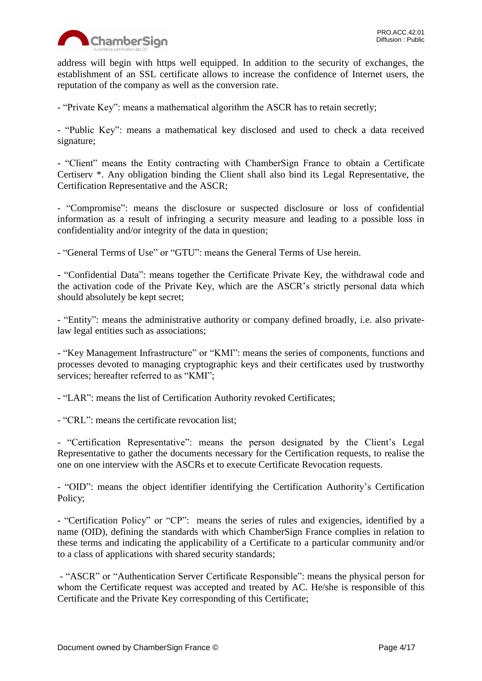

address will begin with https well equipped. In addition to the security of exchanges, the establishment of an SSL certificate allows to increase the confidence of Internet users, the reputation of the company as well as the conversion rate.

- "Private Key": means a mathematical algorithm the ASCR has to retain secretly;

- "Public Key": means a mathematical key disclosed and used to check a data received signature;

- "Client" means the Entity contracting with ChamberSign France to obtain a Certificate Certiserv \*. Any obligation binding the Client shall also bind its Legal Representative, the Certification Representative and the ASCR;

- "Compromise": means the disclosure or suspected disclosure or loss of confidential information as a result of infringing a security measure and leading to a possible loss in confidentiality and/or integrity of the data in question;

- "General Terms of Use" or "GTU": means the General Terms of Use herein.

**-** "Confidential Data": means together the Certificate Private Key, the withdrawal code and the activation code of the Private Key, which are the ASCR's strictly personal data which should absolutely be kept secret;

- "Entity": means the administrative authority or company defined broadly, i.e. also privatelaw legal entities such as associations;

- "Key Management Infrastructure" or "KMI": means the series of components, functions and processes devoted to managing cryptographic keys and their certificates used by trustworthy services; hereafter referred to as "KMI";

- "LAR": means the list of Certification Authority revoked Certificates;

- "CRL": means the certificate revocation list;

- "Certification Representative": means the person designated by the Client's Legal Representative to gather the documents necessary for the Certification requests, to realise the one on one interview with the ASCRs et to execute Certificate Revocation requests.

- "OID": means the object identifier identifying the Certification Authority's Certification Policy;

**-** "Certification Policy" or "CP": means the series of rules and exigencies, identified by a name (OID), defining the standards with which ChamberSign France complies in relation to these terms and indicating the applicability of a Certificate to a particular community and/or to a class of applications with shared security standards;

- "ASCR" or "Authentication Server Certificate Responsible": means the physical person for whom the Certificate request was accepted and treated by AC. He/she is responsible of this Certificate and the Private Key corresponding of this Certificate;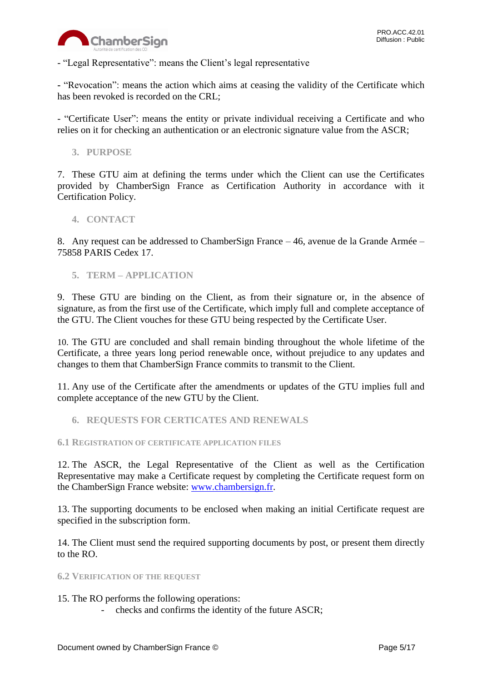

- "Legal Representative": means the Client's legal representative

**-** "Revocation": means the action which aims at ceasing the validity of the Certificate which has been revoked is recorded on the CRL;

- "Certificate User": means the entity or private individual receiving a Certificate and who relies on it for checking an authentication or an electronic signature value from the ASCR;

<span id="page-4-0"></span>**3. PURPOSE**

7. These GTU aim at defining the terms under which the Client can use the Certificates provided by ChamberSign France as Certification Authority in accordance with it Certification Policy.

## <span id="page-4-1"></span>**4. CONTACT**

8. Any request can be addressed to ChamberSign France – 46, avenue de la Grande Armée – 75858 PARIS Cedex 17.

<span id="page-4-2"></span>**5. TERM – APPLICATION**

9. These GTU are binding on the Client, as from their signature or, in the absence of signature, as from the first use of the Certificate, which imply full and complete acceptance of the GTU. The Client vouches for these GTU being respected by the Certificate User.

10. The GTU are concluded and shall remain binding throughout the whole lifetime of the Certificate, a three years long period renewable once, without prejudice to any updates and changes to them that ChamberSign France commits to transmit to the Client.

11. Any use of the Certificate after the amendments or updates of the GTU implies full and complete acceptance of the new GTU by the Client.

<span id="page-4-3"></span>**6. REQUESTS FOR CERTICATES AND RENEWALS**

## <span id="page-4-4"></span>**6.1 REGISTRATION OF CERTIFICATE APPLICATION FILES**

12. The ASCR, the Legal Representative of the Client as well as the Certification Representative may make a Certificate request by completing the Certificate request form on the ChamberSign France website: [www.chambersign.fr.](http://www.chambersign.fr/)

13. The supporting documents to be enclosed when making an initial Certificate request are specified in the subscription form.

14. The Client must send the required supporting documents by post, or present them directly to the RO.

<span id="page-4-5"></span>**6.2 VERIFICATION OF THE REQUEST**

## 15. The RO performs the following operations:

- checks and confirms the identity of the future ASCR;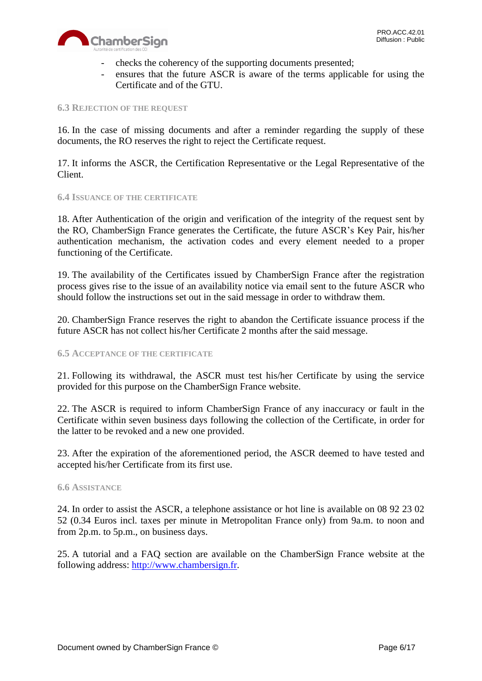

- checks the coherency of the supporting documents presented;
- ensures that the future ASCR is aware of the terms applicable for using the Certificate and of the GTU.

#### <span id="page-5-0"></span>**6.3 REJECTION OF THE REQUEST**

16. In the case of missing documents and after a reminder regarding the supply of these documents, the RO reserves the right to reject the Certificate request.

17. It informs the ASCR, the Certification Representative or the Legal Representative of the Client.

## <span id="page-5-1"></span>**6.4 ISSUANCE OF THE CERTIFICATE**

18. After Authentication of the origin and verification of the integrity of the request sent by the RO, ChamberSign France generates the Certificate, the future ASCR's Key Pair, his/her authentication mechanism, the activation codes and every element needed to a proper functioning of the Certificate.

19. The availability of the Certificates issued by ChamberSign France after the registration process gives rise to the issue of an availability notice via email sent to the future ASCR who should follow the instructions set out in the said message in order to withdraw them.

20. ChamberSign France reserves the right to abandon the Certificate issuance process if the future ASCR has not collect his/her Certificate 2 months after the said message.

## <span id="page-5-2"></span>**6.5 ACCEPTANCE OF THE CERTIFICATE**

21. Following its withdrawal, the ASCR must test his/her Certificate by using the service provided for this purpose on the ChamberSign France website.

22. The ASCR is required to inform ChamberSign France of any inaccuracy or fault in the Certificate within seven business days following the collection of the Certificate, in order for the latter to be revoked and a new one provided.

23. After the expiration of the aforementioned period, the ASCR deemed to have tested and accepted his/her Certificate from its first use.

#### <span id="page-5-3"></span>**6.6 ASSISTANCE**

24. In order to assist the ASCR, a telephone assistance or hot line is available on 08 92 23 02 52 (0.34 Euros incl. taxes per minute in Metropolitan France only) from 9a.m. to noon and from 2p.m. to 5p.m., on business days.

25. A tutorial and a FAQ section are available on the ChamberSign France website at the following address: [http://www.chambersign.fr.](http://www.chambersign.fr/)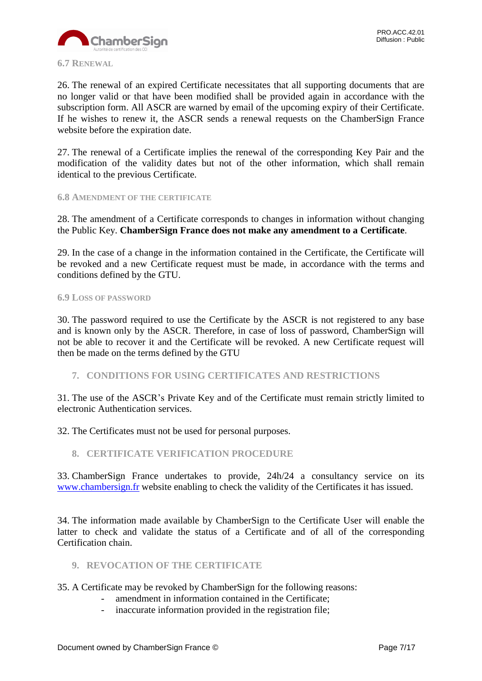<span id="page-6-0"></span>26. The renewal of an expired Certificate necessitates that all supporting documents that are no longer valid or that have been modified shall be provided again in accordance with the subscription form. All ASCR are warned by email of the upcoming expiry of their Certificate. If he wishes to renew it, the ASCR sends a renewal requests on the ChamberSign France website before the expiration date.

27. The renewal of a Certificate implies the renewal of the corresponding Key Pair and the modification of the validity dates but not of the other information, which shall remain identical to the previous Certificate.

## <span id="page-6-1"></span>**6.8 AMENDMENT OF THE CERTIFICATE**

28. The amendment of a Certificate corresponds to changes in information without changing the Public Key. **ChamberSign France does not make any amendment to a Certificate**.

29. In the case of a change in the information contained in the Certificate, the Certificate will be revoked and a new Certificate request must be made, in accordance with the terms and conditions defined by the GTU.

## <span id="page-6-2"></span>**6.9 LOSS OF PASSWORD**

30. The password required to use the Certificate by the ASCR is not registered to any base and is known only by the ASCR. Therefore, in case of loss of password, ChamberSign will not be able to recover it and the Certificate will be revoked. A new Certificate request will then be made on the terms defined by the GTU

<span id="page-6-3"></span>**7. CONDITIONS FOR USING CERTIFICATES AND RESTRICTIONS**

31. The use of the ASCR's Private Key and of the Certificate must remain strictly limited to electronic Authentication services.

32. The Certificates must not be used for personal purposes.

<span id="page-6-4"></span>**8. CERTIFICATE VERIFICATION PROCEDURE**

33. ChamberSign France undertakes to provide, 24h/24 a consultancy service on its [www.chambersign.fr](http://www.chambersign.fr/) website enabling to check the validity of the Certificates it has issued.

34. The information made available by ChamberSign to the Certificate User will enable the latter to check and validate the status of a Certificate and of all of the corresponding Certification chain.

- <span id="page-6-5"></span>**9. REVOCATION OF THE CERTIFICATE**
- 35. A Certificate may be revoked by ChamberSign for the following reasons:
	- amendment in information contained in the Certificate;
	- inaccurate information provided in the registration file;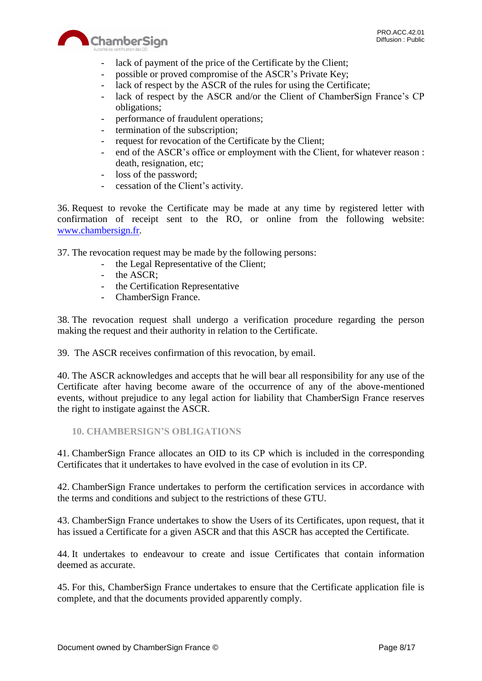

- lack of payment of the price of the Certificate by the Client;
- possible or proved compromise of the ASCR's Private Key;
- lack of respect by the ASCR of the rules for using the Certificate;
- lack of respect by the ASCR and/or the Client of ChamberSign France's CP obligations;
- performance of fraudulent operations;
- termination of the subscription;
- request for revocation of the Certificate by the Client;
- end of the ASCR's office or employment with the Client, for whatever reason : death, resignation, etc;
- loss of the password;
- cessation of the Client's activity.

36. Request to revoke the Certificate may be made at any time by registered letter with confirmation of receipt sent to the RO, or online from the following website: [www.chambersign.fr.](http://www.chambersign.fr/)

37. The revocation request may be made by the following persons:

- the Legal Representative of the Client;
- the ASCR;
- the Certification Representative
- ChamberSign France.

38. The revocation request shall undergo a verification procedure regarding the person making the request and their authority in relation to the Certificate.

39. The ASCR receives confirmation of this revocation, by email.

40. The ASCR acknowledges and accepts that he will bear all responsibility for any use of the Certificate after having become aware of the occurrence of any of the above-mentioned events, without prejudice to any legal action for liability that ChamberSign France reserves the right to instigate against the ASCR.

<span id="page-7-0"></span>**10. CHAMBERSIGN'S OBLIGATIONS**

41. ChamberSign France allocates an OID to its CP which is included in the corresponding Certificates that it undertakes to have evolved in the case of evolution in its CP.

42. ChamberSign France undertakes to perform the certification services in accordance with the terms and conditions and subject to the restrictions of these GTU.

43. ChamberSign France undertakes to show the Users of its Certificates, upon request, that it has issued a Certificate for a given ASCR and that this ASCR has accepted the Certificate.

44. It undertakes to endeavour to create and issue Certificates that contain information deemed as accurate.

45. For this, ChamberSign France undertakes to ensure that the Certificate application file is complete, and that the documents provided apparently comply.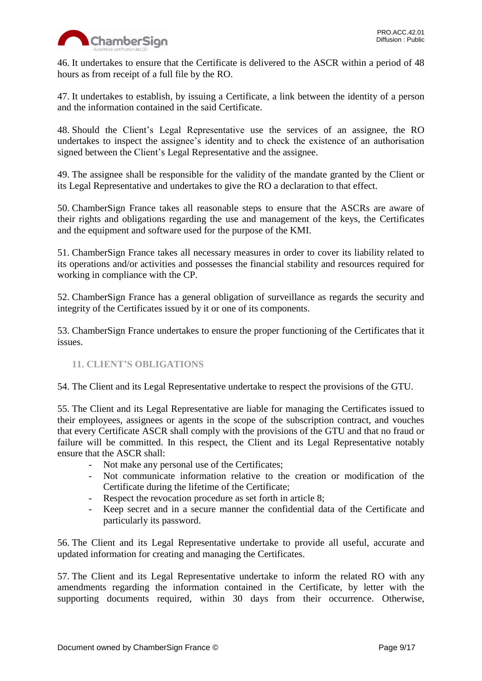

46. It undertakes to ensure that the Certificate is delivered to the ASCR within a period of 48 hours as from receipt of a full file by the RO.

47. It undertakes to establish, by issuing a Certificate, a link between the identity of a person and the information contained in the said Certificate.

48. Should the Client's Legal Representative use the services of an assignee, the RO undertakes to inspect the assignee's identity and to check the existence of an authorisation signed between the Client's Legal Representative and the assignee.

49. The assignee shall be responsible for the validity of the mandate granted by the Client or its Legal Representative and undertakes to give the RO a declaration to that effect.

50. ChamberSign France takes all reasonable steps to ensure that the ASCRs are aware of their rights and obligations regarding the use and management of the keys, the Certificates and the equipment and software used for the purpose of the KMI.

51. ChamberSign France takes all necessary measures in order to cover its liability related to its operations and/or activities and possesses the financial stability and resources required for working in compliance with the CP.

52. ChamberSign France has a general obligation of surveillance as regards the security and integrity of the Certificates issued by it or one of its components.

53. ChamberSign France undertakes to ensure the proper functioning of the Certificates that it issues.

# <span id="page-8-0"></span>**11. CLIENT'S OBLIGATIONS**

54. The Client and its Legal Representative undertake to respect the provisions of the GTU.

55. The Client and its Legal Representative are liable for managing the Certificates issued to their employees, assignees or agents in the scope of the subscription contract, and vouches that every Certificate ASCR shall comply with the provisions of the GTU and that no fraud or failure will be committed. In this respect, the Client and its Legal Representative notably ensure that the ASCR shall:

- Not make any personal use of the Certificates;
- Not communicate information relative to the creation or modification of the Certificate during the lifetime of the Certificate;
- Respect the revocation procedure as set forth in article 8;
- Keep secret and in a secure manner the confidential data of the Certificate and particularly its password.

56. The Client and its Legal Representative undertake to provide all useful, accurate and updated information for creating and managing the Certificates.

57. The Client and its Legal Representative undertake to inform the related RO with any amendments regarding the information contained in the Certificate, by letter with the supporting documents required, within 30 days from their occurrence. Otherwise,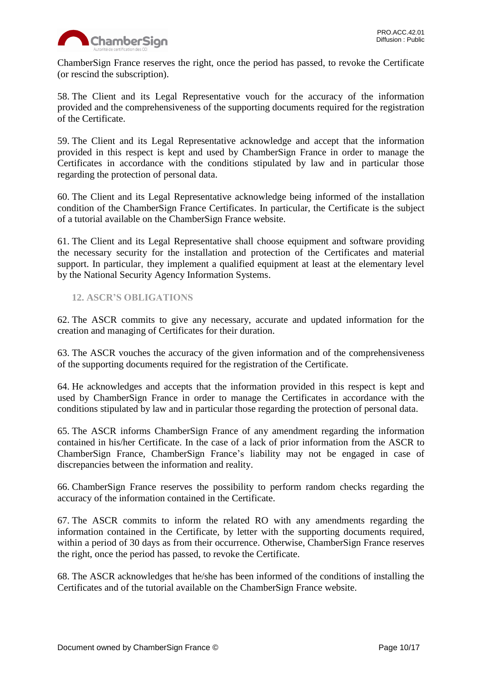

ChamberSign France reserves the right, once the period has passed, to revoke the Certificate (or rescind the subscription).

58. The Client and its Legal Representative vouch for the accuracy of the information provided and the comprehensiveness of the supporting documents required for the registration of the Certificate.

59. The Client and its Legal Representative acknowledge and accept that the information provided in this respect is kept and used by ChamberSign France in order to manage the Certificates in accordance with the conditions stipulated by law and in particular those regarding the protection of personal data.

60. The Client and its Legal Representative acknowledge being informed of the installation condition of the ChamberSign France Certificates. In particular, the Certificate is the subject of a tutorial available on the ChamberSign France website.

61. The Client and its Legal Representative shall choose equipment and software providing the necessary security for the installation and protection of the Certificates and material support. In particular, they implement a qualified equipment at least at the elementary level by the National Security Agency Information Systems.

# <span id="page-9-0"></span>**12. ASCR'S OBLIGATIONS**

62. The ASCR commits to give any necessary, accurate and updated information for the creation and managing of Certificates for their duration.

63. The ASCR vouches the accuracy of the given information and of the comprehensiveness of the supporting documents required for the registration of the Certificate.

64. He acknowledges and accepts that the information provided in this respect is kept and used by ChamberSign France in order to manage the Certificates in accordance with the conditions stipulated by law and in particular those regarding the protection of personal data.

65. The ASCR informs ChamberSign France of any amendment regarding the information contained in his/her Certificate. In the case of a lack of prior information from the ASCR to ChamberSign France, ChamberSign France's liability may not be engaged in case of discrepancies between the information and reality.

66. ChamberSign France reserves the possibility to perform random checks regarding the accuracy of the information contained in the Certificate.

67. The ASCR commits to inform the related RO with any amendments regarding the information contained in the Certificate, by letter with the supporting documents required, within a period of 30 days as from their occurrence. Otherwise, ChamberSign France reserves the right, once the period has passed, to revoke the Certificate.

68. The ASCR acknowledges that he/she has been informed of the conditions of installing the Certificates and of the tutorial available on the ChamberSign France website.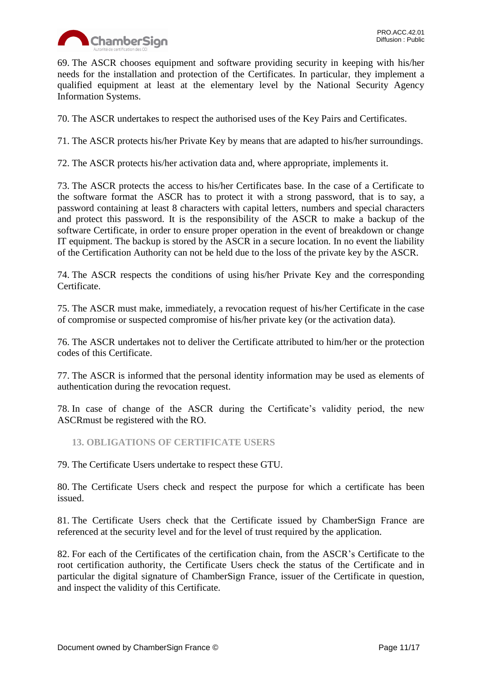

69. The ASCR chooses equipment and software providing security in keeping with his/her needs for the installation and protection of the Certificates. In particular, they implement a qualified equipment at least at the elementary level by the National Security Agency Information Systems.

70. The ASCR undertakes to respect the authorised uses of the Key Pairs and Certificates.

71. The ASCR protects his/her Private Key by means that are adapted to his/her surroundings.

72. The ASCR protects his/her activation data and, where appropriate, implements it.

73. The ASCR protects the access to his/her Certificates base. In the case of a Certificate to the software format the ASCR has to protect it with a strong password, that is to say, a password containing at least 8 characters with capital letters, numbers and special characters and protect this password. It is the responsibility of the ASCR to make a backup of the software Certificate, in order to ensure proper operation in the event of breakdown or change IT equipment. The backup is stored by the ASCR in a secure location. In no event the liability of the Certification Authority can not be held due to the loss of the private key by the ASCR.

74. The ASCR respects the conditions of using his/her Private Key and the corresponding Certificate.

75. The ASCR must make, immediately, a revocation request of his/her Certificate in the case of compromise or suspected compromise of his/her private key (or the activation data).

76. The ASCR undertakes not to deliver the Certificate attributed to him/her or the protection codes of this Certificate.

77. The ASCR is informed that the personal identity information may be used as elements of authentication during the revocation request.

78. In case of change of the ASCR during the Certificate's validity period, the new ASCRmust be registered with the RO.

<span id="page-10-0"></span>**13. OBLIGATIONS OF CERTIFICATE USERS**

79. The Certificate Users undertake to respect these GTU.

80. The Certificate Users check and respect the purpose for which a certificate has been issued.

81. The Certificate Users check that the Certificate issued by ChamberSign France are referenced at the security level and for the level of trust required by the application.

82. For each of the Certificates of the certification chain, from the ASCR's Certificate to the root certification authority, the Certificate Users check the status of the Certificate and in particular the digital signature of ChamberSign France, issuer of the Certificate in question, and inspect the validity of this Certificate.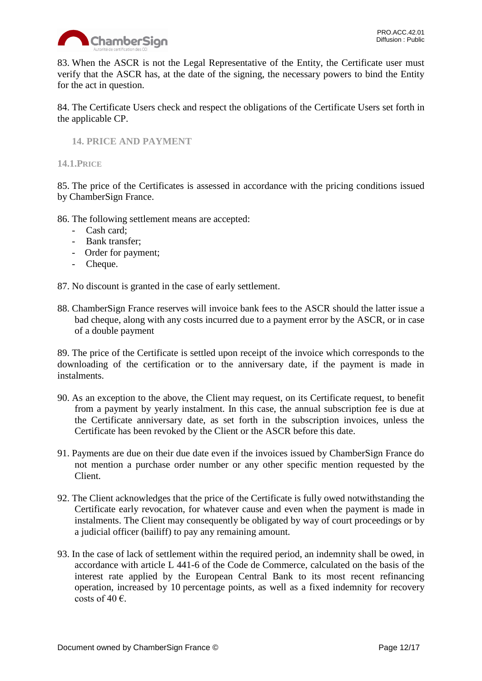

83. When the ASCR is not the Legal Representative of the Entity, the Certificate user must verify that the ASCR has, at the date of the signing, the necessary powers to bind the Entity for the act in question.

84. The Certificate Users check and respect the obligations of the Certificate Users set forth in the applicable CP.

<span id="page-11-0"></span>**14. PRICE AND PAYMENT**

<span id="page-11-1"></span>**14.1.PRICE**

85. The price of the Certificates is assessed in accordance with the pricing conditions issued by ChamberSign France.

86. The following settlement means are accepted:

- Cash card;
- Bank transfer;
- Order for payment;
- Cheque.

87. No discount is granted in the case of early settlement.

88. ChamberSign France reserves will invoice bank fees to the ASCR should the latter issue a bad cheque, along with any costs incurred due to a payment error by the ASCR, or in case of a double payment

89. The price of the Certificate is settled upon receipt of the invoice which corresponds to the downloading of the certification or to the anniversary date, if the payment is made in instalments.

- 90. As an exception to the above, the Client may request, on its Certificate request, to benefit from a payment by yearly instalment. In this case, the annual subscription fee is due at the Certificate anniversary date, as set forth in the subscription invoices, unless the Certificate has been revoked by the Client or the ASCR before this date.
- 91. Payments are due on their due date even if the invoices issued by ChamberSign France do not mention a purchase order number or any other specific mention requested by the Client.
- 92. The Client acknowledges that the price of the Certificate is fully owed notwithstanding the Certificate early revocation, for whatever cause and even when the payment is made in instalments. The Client may consequently be obligated by way of court proceedings or by a judicial officer (bailiff) to pay any remaining amount.
- 93. In the case of lack of settlement within the required period, an indemnity shall be owed, in accordance with article L 441-6 of the Code de Commerce, calculated on the basis of the interest rate applied by the European Central Bank to its most recent refinancing operation, increased by 10 percentage points, as well as a fixed indemnity for recovery costs of 40  $\epsilon$ .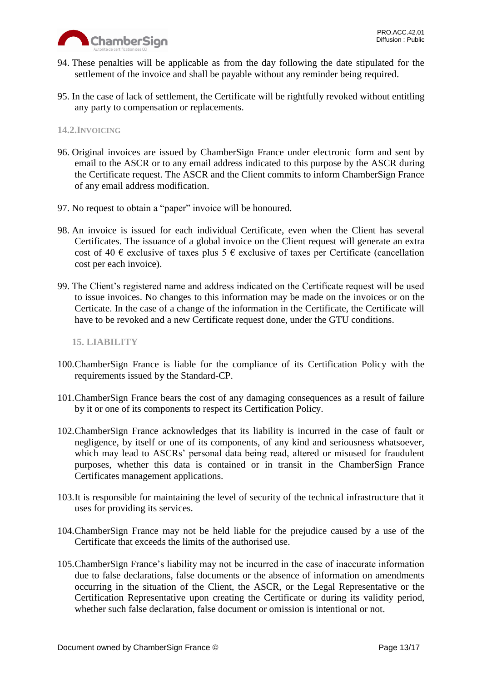

- 94. These penalties will be applicable as from the day following the date stipulated for the settlement of the invoice and shall be payable without any reminder being required.
- 95. In the case of lack of settlement, the Certificate will be rightfully revoked without entitling any party to compensation or replacements.

## <span id="page-12-0"></span>**14.2.INVOICING**

- 96. Original invoices are issued by ChamberSign France under electronic form and sent by email to the ASCR or to any email address indicated to this purpose by the ASCR during the Certificate request. The ASCR and the Client commits to inform ChamberSign France of any email address modification.
- 97. No request to obtain a "paper" invoice will be honoured.
- 98. An invoice is issued for each individual Certificate, even when the Client has several Certificates. The issuance of a global invoice on the Client request will generate an extra cost of 40  $\epsilon$  exclusive of taxes plus 5  $\epsilon$  exclusive of taxes per Certificate (cancellation cost per each invoice).
- 99. The Client's registered name and address indicated on the Certificate request will be used to issue invoices. No changes to this information may be made on the invoices or on the Certicate. In the case of a change of the information in the Certificate, the Certificate will have to be revoked and a new Certificate request done, under the GTU conditions.

## <span id="page-12-1"></span>**15. LIABILITY**

- 100.ChamberSign France is liable for the compliance of its Certification Policy with the requirements issued by the Standard-CP.
- 101.ChamberSign France bears the cost of any damaging consequences as a result of failure by it or one of its components to respect its Certification Policy.
- 102.ChamberSign France acknowledges that its liability is incurred in the case of fault or negligence, by itself or one of its components, of any kind and seriousness whatsoever, which may lead to ASCRs' personal data being read, altered or misused for fraudulent purposes, whether this data is contained or in transit in the ChamberSign France Certificates management applications.
- 103.It is responsible for maintaining the level of security of the technical infrastructure that it uses for providing its services.
- 104.ChamberSign France may not be held liable for the prejudice caused by a use of the Certificate that exceeds the limits of the authorised use.
- 105.ChamberSign France's liability may not be incurred in the case of inaccurate information due to false declarations, false documents or the absence of information on amendments occurring in the situation of the Client, the ASCR, or the Legal Representative or the Certification Representative upon creating the Certificate or during its validity period, whether such false declaration, false document or omission is intentional or not.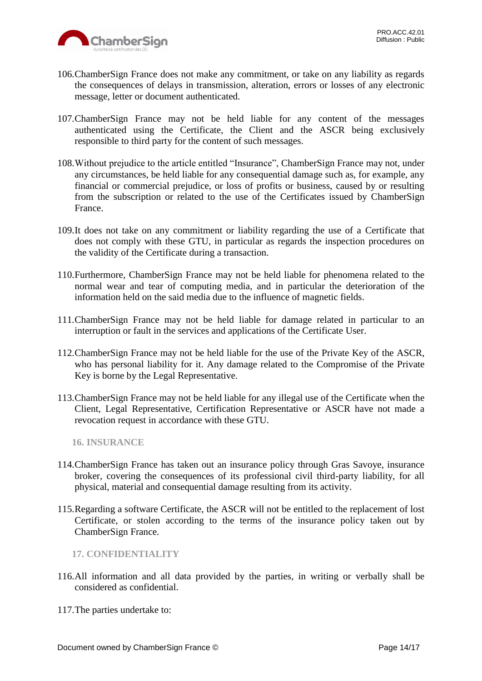

- 106.ChamberSign France does not make any commitment, or take on any liability as regards the consequences of delays in transmission, alteration, errors or losses of any electronic message, letter or document authenticated.
- 107.ChamberSign France may not be held liable for any content of the messages authenticated using the Certificate, the Client and the ASCR being exclusively responsible to third party for the content of such messages.
- 108.Without prejudice to the article entitled "Insurance", ChamberSign France may not, under any circumstances, be held liable for any consequential damage such as, for example, any financial or commercial prejudice, or loss of profits or business, caused by or resulting from the subscription or related to the use of the Certificates issued by ChamberSign France.
- 109.It does not take on any commitment or liability regarding the use of a Certificate that does not comply with these GTU, in particular as regards the inspection procedures on the validity of the Certificate during a transaction.
- 110.Furthermore, ChamberSign France may not be held liable for phenomena related to the normal wear and tear of computing media, and in particular the deterioration of the information held on the said media due to the influence of magnetic fields.
- 111.ChamberSign France may not be held liable for damage related in particular to an interruption or fault in the services and applications of the Certificate User.
- 112.ChamberSign France may not be held liable for the use of the Private Key of the ASCR, who has personal liability for it. Any damage related to the Compromise of the Private Key is borne by the Legal Representative.
- 113.ChamberSign France may not be held liable for any illegal use of the Certificate when the Client, Legal Representative, Certification Representative or ASCR have not made a revocation request in accordance with these GTU.

<span id="page-13-0"></span>**16. INSURANCE**

- 114.ChamberSign France has taken out an insurance policy through Gras Savoye, insurance broker, covering the consequences of its professional civil third-party liability, for all physical, material and consequential damage resulting from its activity.
- 115.Regarding a software Certificate, the ASCR will not be entitled to the replacement of lost Certificate, or stolen according to the terms of the insurance policy taken out by ChamberSign France.

<span id="page-13-1"></span>**17. CONFIDENTIALITY**

- 116.All information and all data provided by the parties, in writing or verbally shall be considered as confidential.
- 117.The parties undertake to: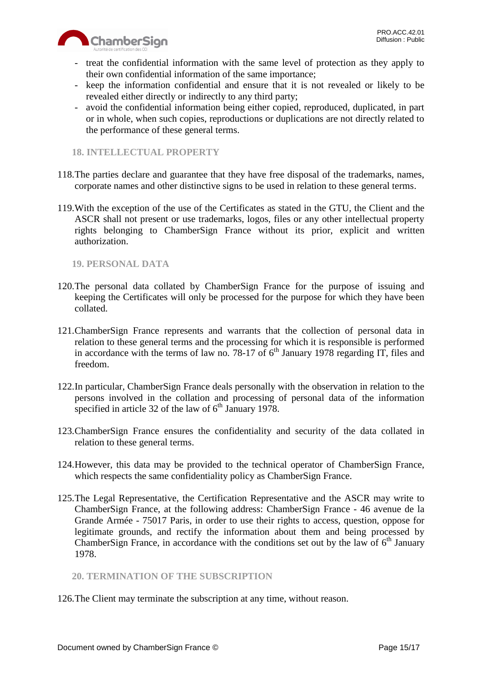

- treat the confidential information with the same level of protection as they apply to their own confidential information of the same importance;
- keep the information confidential and ensure that it is not revealed or likely to be revealed either directly or indirectly to any third party;
- avoid the confidential information being either copied, reproduced, duplicated, in part or in whole, when such copies, reproductions or duplications are not directly related to the performance of these general terms.

# <span id="page-14-0"></span>**18. INTELLECTUAL PROPERTY**

- 118.The parties declare and guarantee that they have free disposal of the trademarks, names, corporate names and other distinctive signs to be used in relation to these general terms.
- 119.With the exception of the use of the Certificates as stated in the GTU, the Client and the ASCR shall not present or use trademarks, logos, files or any other intellectual property rights belonging to ChamberSign France without its prior, explicit and written authorization.

# <span id="page-14-1"></span>**19. PERSONAL DATA**

- 120.The personal data collated by ChamberSign France for the purpose of issuing and keeping the Certificates will only be processed for the purpose for which they have been collated.
- 121.ChamberSign France represents and warrants that the collection of personal data in relation to these general terms and the processing for which it is responsible is performed in accordance with the terms of law no. 78-17 of  $6<sup>th</sup>$  January 1978 regarding IT, files and freedom.
- 122.In particular, ChamberSign France deals personally with the observation in relation to the persons involved in the collation and processing of personal data of the information specified in article 32 of the law of  $6<sup>th</sup>$  January 1978.
- 123.ChamberSign France ensures the confidentiality and security of the data collated in relation to these general terms.
- 124.However, this data may be provided to the technical operator of ChamberSign France, which respects the same confidentiality policy as ChamberSign France.
- 125.The Legal Representative, the Certification Representative and the ASCR may write to ChamberSign France, at the following address: ChamberSign France - 46 avenue de la Grande Armée - 75017 Paris, in order to use their rights to access, question, oppose for legitimate grounds, and rectify the information about them and being processed by ChamberSign France, in accordance with the conditions set out by the law of  $6<sup>th</sup>$  January 1978.

# <span id="page-14-2"></span>**20. TERMINATION OF THE SUBSCRIPTION**

126.The Client may terminate the subscription at any time, without reason.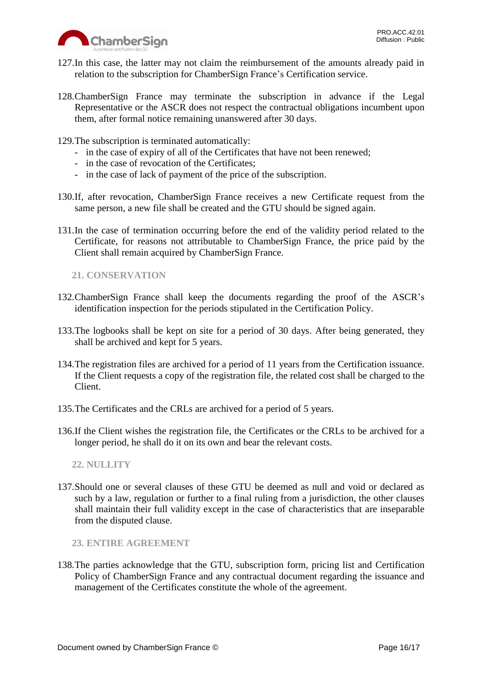

- 127.In this case, the latter may not claim the reimbursement of the amounts already paid in relation to the subscription for ChamberSign France's Certification service.
- 128.ChamberSign France may terminate the subscription in advance if the Legal Representative or the ASCR does not respect the contractual obligations incumbent upon them, after formal notice remaining unanswered after 30 days.
- 129.The subscription is terminated automatically:
	- in the case of expiry of all of the Certificates that have not been renewed;
	- in the case of revocation of the Certificates;
	- in the case of lack of payment of the price of the subscription.
- 130.If, after revocation, ChamberSign France receives a new Certificate request from the same person, a new file shall be created and the GTU should be signed again.
- 131.In the case of termination occurring before the end of the validity period related to the Certificate, for reasons not attributable to ChamberSign France, the price paid by the Client shall remain acquired by ChamberSign France.

<span id="page-15-0"></span>**21. CONSERVATION**

- 132.ChamberSign France shall keep the documents regarding the proof of the ASCR's identification inspection for the periods stipulated in the Certification Policy.
- 133.The logbooks shall be kept on site for a period of 30 days. After being generated, they shall be archived and kept for 5 years.
- 134.The registration files are archived for a period of 11 years from the Certification issuance. If the Client requests a copy of the registration file, the related cost shall be charged to the Client.
- 135.The Certificates and the CRLs are archived for a period of 5 years.
- 136.If the Client wishes the registration file, the Certificates or the CRLs to be archived for a longer period, he shall do it on its own and bear the relevant costs.

<span id="page-15-1"></span>**22. NULLITY**

137.Should one or several clauses of these GTU be deemed as null and void or declared as such by a law, regulation or further to a final ruling from a jurisdiction, the other clauses shall maintain their full validity except in the case of characteristics that are inseparable from the disputed clause.

<span id="page-15-2"></span>**23. ENTIRE AGREEMENT**

138.The parties acknowledge that the GTU, subscription form, pricing list and Certification Policy of ChamberSign France and any contractual document regarding the issuance and management of the Certificates constitute the whole of the agreement.